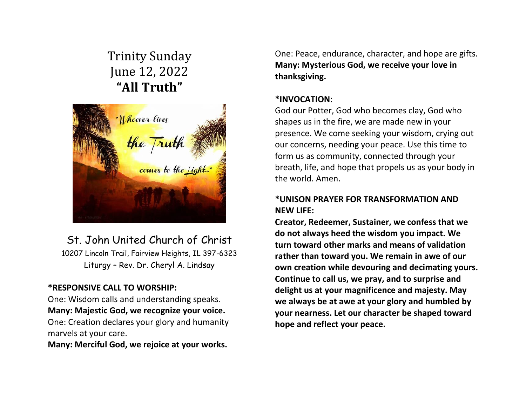# Trinity Sunday June 12, 2022 **"All Truth"**



St. John United Church of Christ 10207 Lincoln Trail, Fairview Heights, IL 397-6323 Liturgy – Rev. Dr. Cheryl A. Lindsay

# **\*RESPONSIVE CALL TO WORSHIP:**

One: Wisdom calls and understanding speaks. **Many: Majestic God, we recognize your voice.** One: Creation declares your glory and humanity marvels at your care.

**Many: Merciful God, we rejoice at your works.**

One: Peace, endurance, character, and hope are gifts. **Many: Mysterious God, we receive your love in thanksgiving.**

# **\*INVOCATION:**

God our Potter, God who becomes clay, God who shapes us in the fire, we are made new in your presence. We come seeking your wisdom, crying out our concerns, needing your peace. Use this time to form us as community, connected through your breath, life, and hope that propels us as your body in the world. Amen.

# **\*UNISON PRAYER FOR TRANSFORMATION AND NEW LIFE:**

**Creator, Redeemer, Sustainer, we confess that we do not always heed the wisdom you impact. We turn toward other marks and means of validation rather than toward you. We remain in awe of our own creation while devouring and decimating yours. Continue to call us, we pray, and to surprise and delight us at your magnificence and majesty. May we always be at awe at your glory and humbled by your nearness. Let our character be shaped toward hope and reflect your peace.**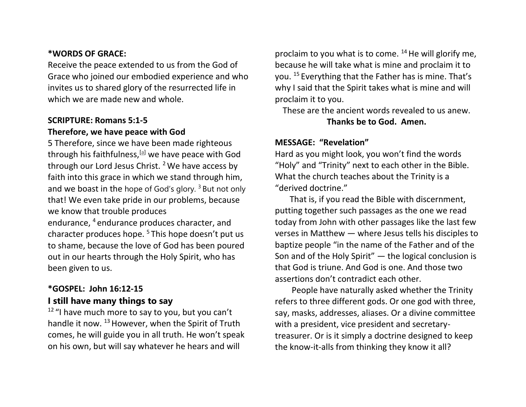# **\*WORDS OF GRACE:**

Receive the peace extended to us from the God of Grace who joined our embodied experience and who invites us to shared glory of the resurrected life in which we are made new and whole.

# **SCRIPTURE: Romans 5:1-5 Therefore, we have peace with God**

5 Therefore, since we have been made righteous through his faithfulness, <sup>[\[a\]](https://www.biblegateway.com/passage/?search=Romans+5%3A1-5&version=CEB#fen-CEB-28032a)</sup> we have peace with God through our Lord Jesus Christ. <sup>2</sup> We have access by faith into this grace in which we stand through him, and we boast in the hope of God's glory.  $3$  But not only that! We even take pride in our problems, because we know that trouble produces

endurance, <sup>4</sup> endurance produces character, and character produces hope. <sup>5</sup> This hope doesn't put us to shame, because the love of God has been poured out in our hearts through the Holy Spirit, who has been given to us.

# **\*GOSPEL: John 16:12-15 I still have many things to say**

 $12$  "I have much more to say to you, but you can't handle it now. <sup>13</sup> However, when the Spirit of Truth comes, he will guide you in all truth. He won't speak on his own, but will say whatever he hears and will

proclaim to you what is to come.  $14$  He will glorify me, because he will take what is mine and proclaim it to you. <sup>15</sup> Everything that the Father has is mine. That's why I said that the Spirit takes what is mine and will proclaim it to you.

These are the ancient words revealed to us anew. **Thanks be to God. Amen.**

# **MESSAGE: "Revelation"**

Hard as you might look, you won't find the words "Holy" and "Trinity" next to each other in the Bible. What the church teaches about the Trinity is a "derived doctrine."

 That is, if you read the Bible with discernment, putting together such passages as the one we read today from John with other passages like the last few verses in Matthew — where Jesus tells his disciples to baptize people "in the name of the Father and of the Son and of the Holy Spirit" — the logical conclusion is that God is triune. And God is one. And those two assertions don't contradict each other.

 People have naturally asked whether the Trinity refers to three different gods. Or one god with three, say, masks, addresses, aliases. Or a divine committee with a president, vice president and secretarytreasurer. Or is it simply a doctrine designed to keep the know-it-alls from thinking they know it all?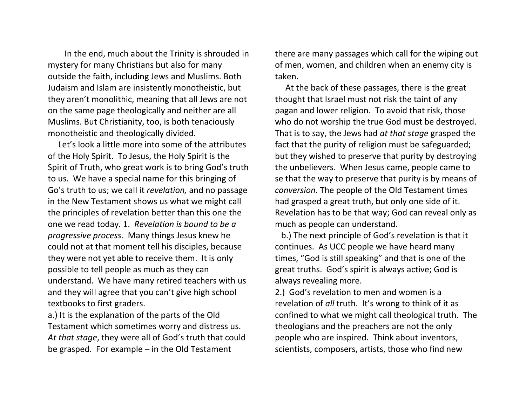In the end, much about the Trinity is shrouded in mystery for many Christians but also for many outside the faith, including Jews and Muslims. Both Judaism and Islam are insistently monotheistic, but they aren't monolithic, meaning that all Jews are not on the same page theologically and neither are all Muslims. But Christianity, too, is both tenaciously monotheistic and theologically divided.

 Let's look a little more into some of the attributes of the Holy Spirit. To Jesus, the Holy Spirit is the Spirit of Truth, who great work is to bring God's truth to us. We have a special name for this bringing of Go's truth to us; we call it *revelation,* and no passage in the New Testament shows us what we might call the principles of revelation better than this one the one we read today. 1. *Revelation is bound to be a progressive process.* Many things Jesus knew he could not at that moment tell his disciples, because they were not yet able to receive them. It is only possible to tell people as much as they can understand. We have many retired teachers with us and they will agree that you can't give high school textbooks to first graders.

a.) It is the explanation of the parts of the Old Testament which sometimes worry and distress us. *At that stage*, they were all of God's truth that could be grasped. For example – in the Old Testament

there are many passages which call for the wiping out of men, women, and children when an enemy city is taken.

 At the back of these passages, there is the great thought that Israel must not risk the taint of any pagan and lower religion. To avoid that risk, those who do not worship the true God must be destroyed. That is to say, the Jews had *at that stage* grasped the fact that the purity of religion must be safeguarded; but they wished to preserve that purity by destroying the unbelievers. When Jesus came, people came to se that the way to preserve that purity is by means of *conversion.* The people of the Old Testament times had grasped a great truth, but only one side of it. Revelation has to be that way; God can reveal only as much as people can understand.

 b.) The next principle of God's revelation is that it continues. As UCC people we have heard many times, "God is still speaking" and that is one of the great truths. God's spirit is always active; God is always revealing more.

2.) God's revelation to men and women is a revelation of *all* truth. It's wrong to think of it as confined to what we might call theological truth. The theologians and the preachers are not the only people who are inspired. Think about inventors, scientists, composers, artists, those who find new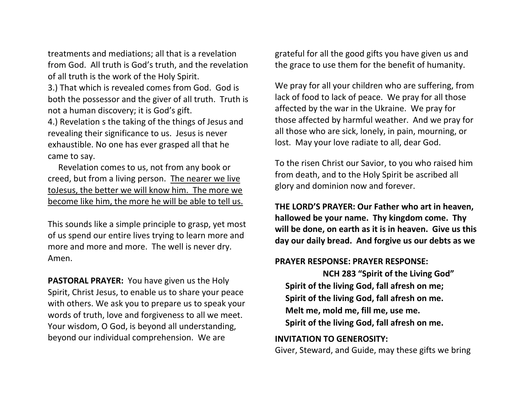treatments and mediations; all that is a revelation from God. All truth is God's truth, and the revelation of all truth is the work of the Holy Spirit.

3.) That which is revealed comes from God. God is both the possessor and the giver of all truth. Truth is not a human discovery; it is God's gift.

4.) Revelation s the taking of the things of Jesus and revealing their significance to us. Jesus is never exhaustible. No one has ever grasped all that he came to say.

 Revelation comes to us, not from any book or creed, but from a living person. The nearer we live toJesus, the better we will know him. The more we become like him, the more he will be able to tell us.

This sounds like a simple principle to grasp, yet most of us spend our entire lives trying to learn more and more and more and more. The well is never dry. Amen.

**PASTORAL PRAYER:** You have given us the Holy Spirit, Christ Jesus, to enable us to share your peace with others. We ask you to prepare us to speak your words of truth, love and forgiveness to all we meet. Your wisdom, O God, is beyond all understanding, beyond our individual comprehension. We are

grateful for all the good gifts you have given us and the grace to use them for the benefit of humanity.

We pray for all your children who are suffering, from lack of food to lack of peace. We pray for all those affected by the war in the Ukraine. We pray for those affected by harmful weather. And we pray for all those who are sick, lonely, in pain, mourning, or lost. May your love radiate to all, dear God.

To the risen Christ our Savior, to you who raised him from death, and to the Holy Spirit be ascribed all glory and dominion now and forever.

**THE LORD'S PRAYER: Our Father who art in heaven, hallowed be your name. Thy kingdom come. Thy will be done, on earth as it is in heaven. Give us this day our daily bread. And forgive us our debts as we**

#### **PRAYER RESPONSE: PRAYER RESPONSE:**

**NCH 283 "Spirit of the Living God" Spirit of the living God, fall afresh on me; Spirit of the living God, fall afresh on me. Melt me, mold me, fill me, use me. Spirit of the living God, fall afresh on me.**

#### **INVITATION TO GENEROSITY:**

Giver, Steward, and Guide, may these gifts we bring